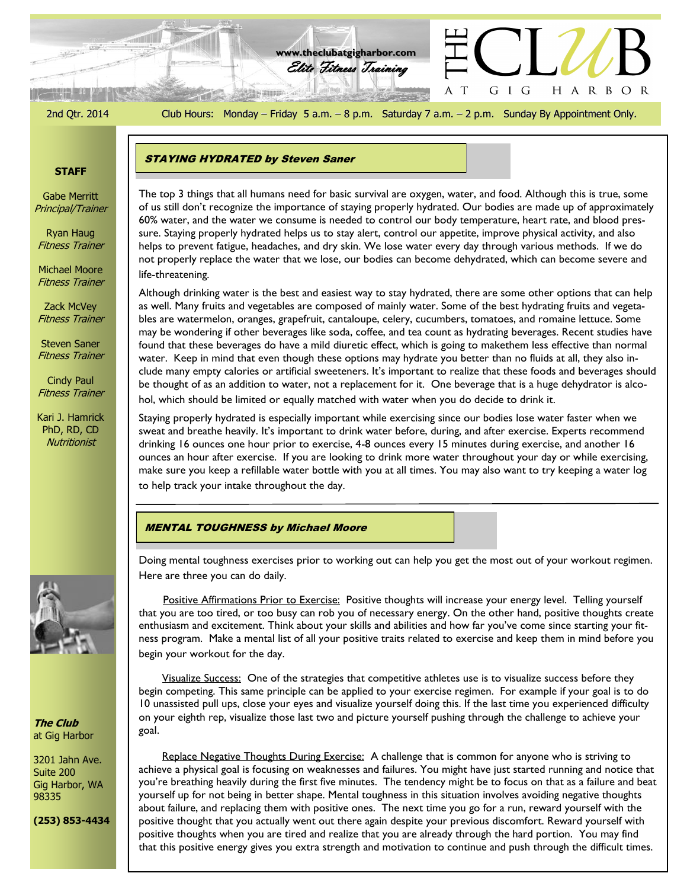2nd Qtr. 2014 Club Hours: Monday – Friday 5 a.m. – 8 p.m. Saturday 7 a.m. – 2 p.m. Sunday By Appointment Only.

G I G

 $\top$ A

HARBOR

Elite Fitness Training **www.theclubatgigharbor.com**

**215 SHIPS** 

## **STAFF**

Gabe Merritt Principal/Trainer

Ryan Haug Fitness Trainer

Michael Moore Fitness Trainer

life-threatening.

Zack McVey Fitness Trainer

Steven Saner Fitness Trainer

Cindy Paul Fitness Trainer

Kari J. Hamrick PhD, RD, CD **Nutritionist** 



Although drinking water is the best and easiest way to stay hydrated, there are some other options that can help as well. Many fruits and vegetables are composed of mainly water. Some of the best hydrating fruits and vegetables are watermelon, oranges, grapefruit, cantaloupe, celery, cucumbers, tomatoes, and romaine lettuce. Some may be wondering if other beverages like soda, coffee, and tea count as hydrating beverages. Recent studies have found that these beverages do have a mild diuretic effect, which is going to makethem less effective than normal water. Keep in mind that even though these options may hydrate you better than no fluids at all, they also include many empty calories or artificial sweeteners. It's important to realize that these foods and beverages should be thought of as an addition to water, not a replacement for it. One beverage that is a huge dehydrator is alcohol, which should be limited or equally matched with water when you do decide to drink it.

Staying properly hydrated is especially important while exercising since our bodies lose water faster when we sweat and breathe heavily. It's important to drink water before, during, and after exercise. Experts recommend drinking 16 ounces one hour prior to exercise, 4-8 ounces every 15 minutes during exercise, and another 16 ounces an hour after exercise. If you are looking to drink more water throughout your day or while exercising, make sure you keep a refillable water bottle with you at all times. You may also want to try keeping a water log to help track your intake throughout the day.

#### MENTAL TOUGHNESS by Michael Moore



Doing mental toughness exercises prior to working out can help you get the most out of your workout regimen. Here are three you can do daily.

Positive Affirmations Prior to Exercise: Positive thoughts will increase your energy level. Telling yourself that you are too tired, or too busy can rob you of necessary energy. On the other hand, positive thoughts create enthusiasm and excitement. Think about your skills and abilities and how far you've come since starting your fitness program. Make a mental list of all your positive traits related to exercise and keep them in mind before you begin your workout for the day.

Visualize Success: One of the strategies that competitive athletes use is to visualize success before they begin competing. This same principle can be applied to your exercise regimen. For example if your goal is to do 10 unassisted pull ups, close your eyes and visualize yourself doing this. If the last time you experienced difficulty on your eighth rep, visualize those last two and picture yourself pushing through the challenge to achieve your goal.

Replace Negative Thoughts During Exercise: A challenge that is common for anyone who is striving to achieve a physical goal is focusing on weaknesses and failures. You might have just started running and notice that you're breathing heavily during the first five minutes. The tendency might be to focus on that as a failure and beat yourself up for not being in better shape. Mental toughness in this situation involves avoiding negative thoughts about failure, and replacing them with positive ones. The next time you go for a run, reward yourself with the positive thought that you actually went out there again despite your previous discomfort. Reward yourself with positive thoughts when you are tired and realize that you are already through the hard portion. You may find that this positive energy gives you extra strength and motivation to continue and push through the difficult times.

**The Club** at Gig Harbor 3201 Jahn Ave.

Suite 200 Gig Harbor, WA 98335

**(253) 853-4434**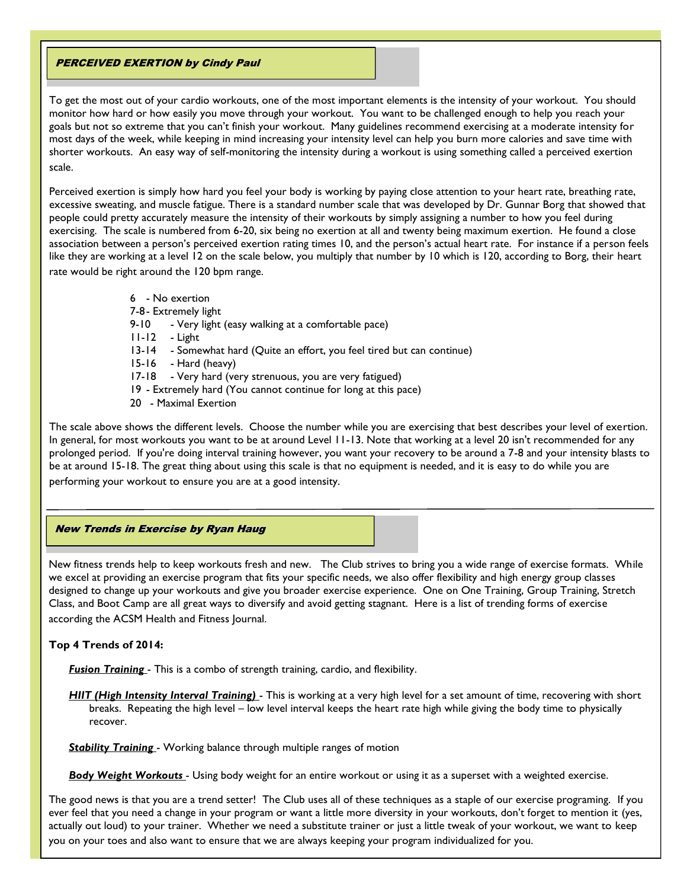#### PERCEIVED EXERTION by Cindy Paul

To get the most out of your cardio workouts, one of the most important elements is the intensity of your workout. You should monitor how hard or how easily you move through your workout. You want to be challenged enough to help you reach your goals but not so extreme that you can't finish your workout. Many guidelines recommend exercising at a moderate intensity for most days of the week, while keeping in mind increasing your intensity level can help you burn more calories and save time with shorter workouts. An easy way of self-monitoring the intensity during a workout is using something called a perceived exertion scale.

Perceived exertion is simply how hard you feel your body is working by paying close attention to your heart rate, breathing rate, excessive sweating, and muscle fatigue. There is a standard number scale that was developed by Dr. Gunnar Borg that showed that people could pretty accurately measure the intensity of their workouts by simply assigning a number to how you feel during exercising. The scale is numbered from 6-20, six being no exertion at all and twenty being maximum exertion. He found a close association between a person's perceived exertion rating times 10, and the person's actual heart rate. For instance if a person feels like they are working at a level 12 on the scale below, you multiply that number by 10 which is 120, according to Borg, their heart rate would be right around the 120 bpm range.

- 6 No exertion
- 7-8- Extremely light
- 9-10 Very light (easy walking at a comfortable pace)
- 11-12 Light
- 13-14 Somewhat hard (Quite an effort, you feel tired but can continue)
- 15-16 Hard (heavy)
- 17-18 Very hard (very strenuous, you are very fatigued)
- 19 Extremely hard (You cannot continue for long at this pace)
- 20 Maximal Exertion

The scale above shows the different levels. Choose the number while you are exercising that best describes your level of exertion. In general, for most workouts you want to be at around Level 11-13. Note that working at a level 20 isn't recommended for any prolonged period. If you're doing interval training however, you want your recovery to be around a 7-8 and your intensity blasts to be at around 15-18. The great thing about using this scale is that no equipment is needed, and it is easy to do while you are performing your workout to ensure you are at a good intensity.

# New Trends in Exercise by Ryan Haug

New fitness trends help to keep workouts fresh and new. The Club strives to bring you a wide range of exercise formats. While we excel at providing an exercise program that fits your specific needs, we also offer flexibility and high energy group classes designed to change up your workouts and give you broader exercise experience. One on One Training, Group Training, Stretch Class, and Boot Camp are all great ways to diversify and avoid getting stagnant. Here is a list of trending forms of exercise according the ACSM Health and Fitness Journal.

#### **Top 4 Trends of 2014:**

*Fusion Training* - This is a combo of strength training, cardio, and flexibility.

*HIIT (High Intensity Interval Training)* - This is working at a very high level for a set amount of time, recovering with short breaks. Repeating the high level – low level interval keeps the heart rate high while giving the body time to physically recover.

**Stability Training** - Working balance through multiple ranges of motion

*Body Weight Workouts* - Using body weight for an entire workout or using it as a superset with a weighted exercise.

The good news is that you are a trend setter! The Club uses all of these techniques as a staple of our exercise programing. If you ever feel that you need a change in your program or want a little more diversity in your workouts, don't forget to mention it (yes, actually out loud) to your trainer. Whether we need a substitute trainer or just a little tweak of your workout, we want to keep you on your toes and also want to ensure that we are always keeping your program individualized for you.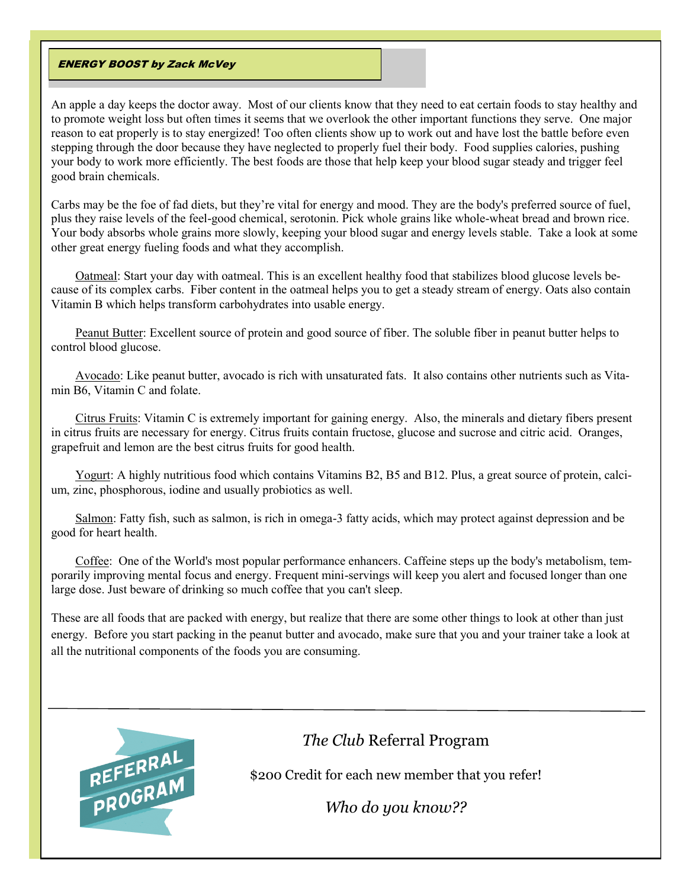#### **ENERGY BOOST by Zack McVey**

An apple a day keeps the doctor away. Most of our clients know that they need to eat certain foods to stay healthy and to promote weight loss but often times it seems that we overlook the other important functions they serve. One major reason to eat properly is to stay energized! Too often clients show up to work out and have lost the battle before even stepping through the door because they have neglected to properly fuel their body. Food supplies calories, pushing your body to work more efficiently. The best foods are those that help keep your blood sugar steady and trigger feel good brain chemicals.

Carbs may be the foe of fad diets, but they're vital for energy and mood. They are the body's preferred source of fuel, plus they raise levels of the feel-good chemical, serotonin. Pick whole grains like whole-wheat bread and brown rice. Your body absorbs whole grains more slowly, keeping your blood sugar and energy levels stable. Take a look at some other great energy fueling foods and what they accomplish.

Oatmeal: Start your day with oatmeal. This is an excellent healthy food that stabilizes blood glucose levels because of its complex carbs. Fiber content in the oatmeal helps you to get a steady stream of energy. Oats also contain Vitamin B which helps transform carbohydrates into usable energy.

Peanut Butter: Excellent source of protein and good source of fiber. The soluble fiber in peanut butter helps to control blood glucose.

Avocado: Like peanut butter, avocado is rich with unsaturated fats. It also contains other nutrients such as Vitamin B6, Vitamin C and folate.

Citrus Fruits: Vitamin C is extremely important for gaining energy. Also, the minerals and dietary fibers present in citrus fruits are necessary for energy. Citrus fruits contain fructose, glucose and sucrose and citric acid. Oranges, grapefruit and lemon are the best citrus fruits for good health.

Yogurt: A highly nutritious food which contains Vitamins B2, B5 and B12. Plus, a great source of protein, calcium, zinc, phosphorous, iodine and usually probiotics as well.

Salmon: Fatty fish, such as salmon, is rich in omega-3 fatty acids, which may protect against depression and be good for heart health.

Coffee: One of the World's most popular performance enhancers. Caffeine steps up the body's metabolism, temporarily improving mental focus and energy. Frequent mini-servings will keep you alert and focused longer than one large dose. Just beware of drinking so much coffee that you can't sleep.

These are all foods that are packed with energy, but realize that there are some other things to look at other than just energy. Before you start packing in the peanut butter and avocado, make sure that you and your trainer take a look at all the nutritional components of the foods you are consuming.



# *The Club* Referral Program

\$200 Credit for each new member that you refer!

*Who do you know??*